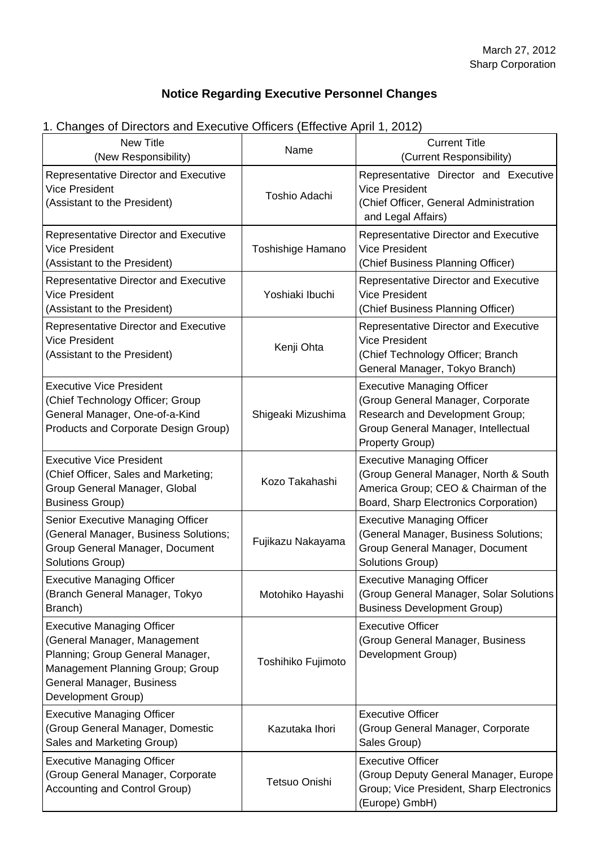# **Notice Regarding Executive Personnel Changes**

# 1. Changes of Directors and Executive Officers (Effective April 1, 2012)

| <b>New Title</b><br>(New Responsibility)                                                                                                                                                     | Name                 | <b>Current Title</b><br>(Current Responsibility)                                                                                                                    |
|----------------------------------------------------------------------------------------------------------------------------------------------------------------------------------------------|----------------------|---------------------------------------------------------------------------------------------------------------------------------------------------------------------|
| <b>Representative Director and Executive</b><br><b>Vice President</b><br>(Assistant to the President)                                                                                        | <b>Toshio Adachi</b> | Representative Director and Executive<br><b>Vice President</b><br>(Chief Officer, General Administration<br>and Legal Affairs)                                      |
| <b>Representative Director and Executive</b><br><b>Vice President</b><br>(Assistant to the President)                                                                                        | Toshishige Hamano    | Representative Director and Executive<br><b>Vice President</b><br>(Chief Business Planning Officer)                                                                 |
| <b>Representative Director and Executive</b><br><b>Vice President</b><br>(Assistant to the President)                                                                                        | Yoshiaki Ibuchi      | Representative Director and Executive<br><b>Vice President</b><br>(Chief Business Planning Officer)                                                                 |
| <b>Representative Director and Executive</b><br><b>Vice President</b><br>(Assistant to the President)                                                                                        | Kenji Ohta           | Representative Director and Executive<br><b>Vice President</b><br>(Chief Technology Officer; Branch<br>General Manager, Tokyo Branch)                               |
| <b>Executive Vice President</b><br>(Chief Technology Officer; Group<br>General Manager, One-of-a-Kind<br>Products and Corporate Design Group)                                                | Shigeaki Mizushima   | <b>Executive Managing Officer</b><br>(Group General Manager, Corporate<br>Research and Development Group;<br>Group General Manager, Intellectual<br>Property Group) |
| <b>Executive Vice President</b><br>(Chief Officer, Sales and Marketing;<br>Group General Manager, Global<br><b>Business Group)</b>                                                           | Kozo Takahashi       | <b>Executive Managing Officer</b><br>(Group General Manager, North & South<br>America Group; CEO & Chairman of the<br>Board, Sharp Electronics Corporation)         |
| Senior Executive Managing Officer<br>(General Manager, Business Solutions;<br>Group General Manager, Document<br>Solutions Group)                                                            | Fujikazu Nakayama    | <b>Executive Managing Officer</b><br>(General Manager, Business Solutions;<br>Group General Manager, Document<br>Solutions Group)                                   |
| <b>Executive Managing Officer</b><br>(Branch General Manager, Tokyo<br>Branch)                                                                                                               | Motohiko Hayashi     | <b>Executive Managing Officer</b><br>(Group General Manager, Solar Solutions<br><b>Business Development Group)</b>                                                  |
| <b>Executive Managing Officer</b><br>(General Manager, Management<br>Planning; Group General Manager,<br>Management Planning Group; Group<br>General Manager, Business<br>Development Group) | Toshihiko Fujimoto   | <b>Executive Officer</b><br>(Group General Manager, Business<br>Development Group)                                                                                  |
| <b>Executive Managing Officer</b><br>(Group General Manager, Domestic<br>Sales and Marketing Group)                                                                                          | Kazutaka Ihori       | <b>Executive Officer</b><br>(Group General Manager, Corporate<br>Sales Group)                                                                                       |
| <b>Executive Managing Officer</b><br>(Group General Manager, Corporate<br>Accounting and Control Group)                                                                                      | Tetsuo Onishi        | <b>Executive Officer</b><br>(Group Deputy General Manager, Europe<br>Group; Vice President, Sharp Electronics<br>(Europe) GmbH)                                     |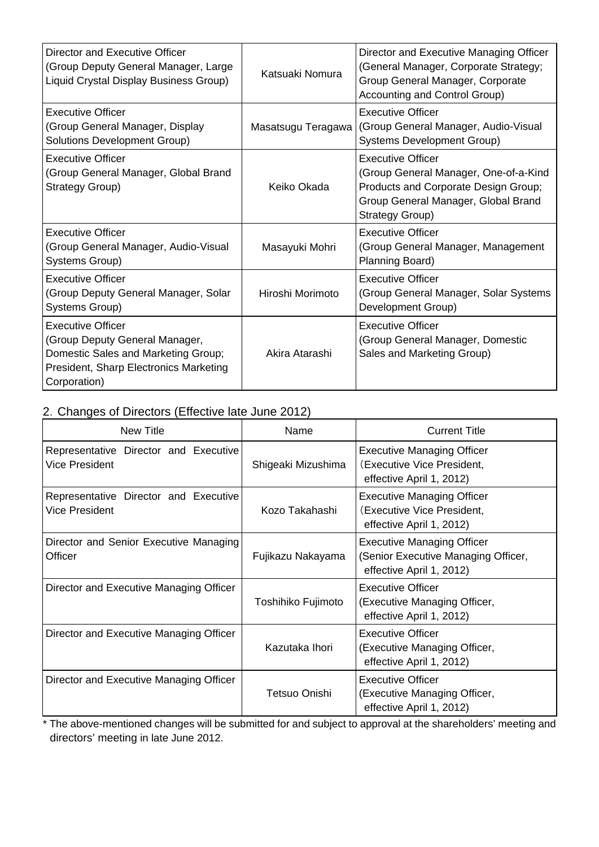| Director and Executive Officer<br>(Group Deputy General Manager, Large<br>Liquid Crystal Display Business Group)                                            | Katsuaki Nomura    | Director and Executive Managing Officer<br>(General Manager, Corporate Strategy;<br>Group General Manager, Corporate<br>Accounting and Control Group)               |
|-------------------------------------------------------------------------------------------------------------------------------------------------------------|--------------------|---------------------------------------------------------------------------------------------------------------------------------------------------------------------|
| <b>Executive Officer</b><br>(Group General Manager, Display<br>Solutions Development Group)                                                                 | Masatsugu Teragawa | <b>Executive Officer</b><br>(Group General Manager, Audio-Visual<br>Systems Development Group)                                                                      |
| <b>Executive Officer</b><br>(Group General Manager, Global Brand<br>Strategy Group)                                                                         | Keiko Okada        | <b>Executive Officer</b><br>(Group General Manager, One-of-a-Kind<br>Products and Corporate Design Group;<br>Group General Manager, Global Brand<br>Strategy Group) |
| <b>Executive Officer</b><br>(Group General Manager, Audio-Visual<br>Systems Group)                                                                          | Masayuki Mohri     | <b>Executive Officer</b><br>(Group General Manager, Management<br>Planning Board)                                                                                   |
| <b>Executive Officer</b><br>(Group Deputy General Manager, Solar<br>Systems Group)                                                                          | Hiroshi Morimoto   | <b>Executive Officer</b><br>(Group General Manager, Solar Systems<br>Development Group)                                                                             |
| <b>Executive Officer</b><br>(Group Deputy General Manager,<br>Domestic Sales and Marketing Group;<br>President, Sharp Electronics Marketing<br>Corporation) | Akira Atarashi     | <b>Executive Officer</b><br>(Group General Manager, Domestic<br>Sales and Marketing Group)                                                                          |

### 2.Changes of Directors (Effective late June 2012)

| New Title                                               | Name               | <b>Current Title</b>                                                                                 |
|---------------------------------------------------------|--------------------|------------------------------------------------------------------------------------------------------|
| Representative Director and Executive<br>Vice President | Shigeaki Mizushima | <b>Executive Managing Officer</b><br>(Executive Vice President,<br>effective April 1, 2012)          |
| Representative Director and Executive<br>Vice President | Kozo Takahashi     | <b>Executive Managing Officer</b><br>(Executive Vice President,<br>effective April 1, 2012)          |
| Director and Senior Executive Managing<br>Officer       | Fujikazu Nakayama  | <b>Executive Managing Officer</b><br>(Senior Executive Managing Officer,<br>effective April 1, 2012) |
| Director and Executive Managing Officer                 | Toshihiko Fujimoto | <b>Executive Officer</b><br>(Executive Managing Officer,<br>effective April 1, 2012)                 |
| Director and Executive Managing Officer                 | Kazutaka Ihori     | <b>Executive Officer</b><br>(Executive Managing Officer,<br>effective April 1, 2012)                 |
| Director and Executive Managing Officer                 | Tetsuo Onishi      | <b>Executive Officer</b><br>(Executive Managing Officer,<br>effective April 1, 2012)                 |

\* The above-mentioned changes will be submitted for and subject to approval at the shareholders' meeting and directors' meeting in late June 2012.